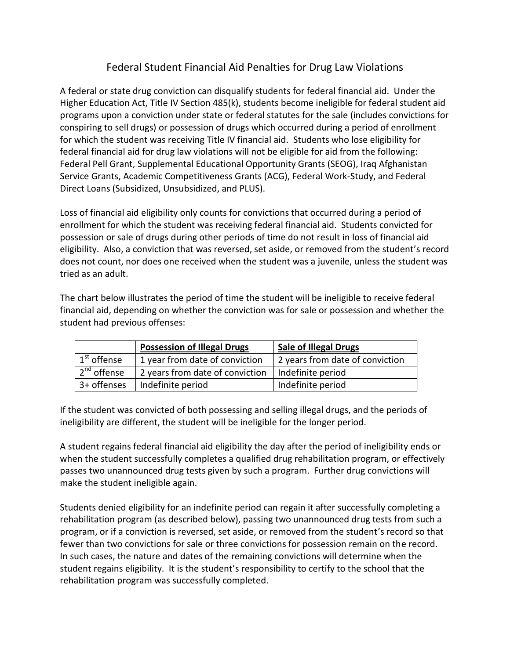## Federal Student Financial Aid Penalties for Drug Law Violations

A federal or state drug conviction can disqualify students for federal financial aid. Under the Higher Education Act, Title IV Section 485(k), students become ineligible for federal student aid programs upon a conviction under state or federal statutes for the sale (includes convictions for conspiring to sell drugs) or possession of drugs which occurred during a period of enrollment for which the student was receiving Title IV financial aid. Students who lose eligibility for federal financial aid for drug law violations will not be eligible for aid from the following: Federal Pell Grant, Supplemental Educational Opportunity Grants (SEOG), Iraq Afghanistan Service Grants, Academic Competitiveness Grants (ACG), Federal Work-Study, and Federal Direct Loans (Subsidized, Unsubsidized, and PLUS).

Loss of financial aid eligibility only counts for convictions that occurred during a period of enrollment for which the student was receiving federal financial aid. Students convicted for possession or sale of drugs during other periods of time do not result in loss of financial aid eligibility. Also, a conviction that was reversed, set aside, or removed from the student's record does not count, nor does one received when the student was a juvenile, unless the student was tried as an adult.

The chart below illustrates the period of time the student will be ineligible to receive federal financial aid, depending on whether the conviction was for sale or possession and whether the student had previous offenses:

|                         | <b>Possession of Illegal Drugs</b> | <b>Sale of Illegal Drugs</b>    |
|-------------------------|------------------------------------|---------------------------------|
| 1 <sup>st</sup> offense | 1 year from date of conviction     | 2 years from date of conviction |
| $2nd$ offense           | 2 years from date of conviction    | Indefinite period               |
| 3+ offenses             | Indefinite period                  | Indefinite period               |

If the student was convicted of both possessing and selling illegal drugs, and the periods of ineligibility are different, the student will be ineligible for the longer period.

A student regains federal financial aid eligibility the day after the period of ineligibility ends or when the student successfully completes a qualified drug rehabilitation program, or effectively passes two unannounced drug tests given by such a program. Further drug convictions will make the student ineligible again.

Students denied eligibility for an indefinite period can regain it after successfully completing a rehabilitation program (as described below), passing two unannounced drug tests from such a program, or if a conviction is reversed, set aside, or removed from the student's record so that fewer than two convictions for sale or three convictions for possession remain on the record. In such cases, the nature and dates of the remaining convictions will determine when the student regains eligibility. It is the student's responsibility to certify to the school that the rehabilitation program was successfully completed.